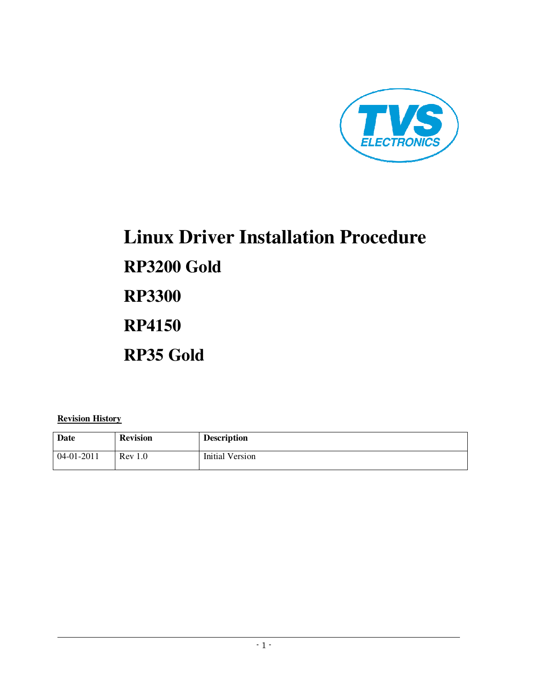

# **Linux Driver Installation Procedure RP3200 Gold RP3300 RP4150 RP35 Gold**

### **Revision History**

| Date         | <b>Revision</b> | <b>Description</b>     |
|--------------|-----------------|------------------------|
| $04-01-2011$ | Rev 1.0         | <b>Initial Version</b> |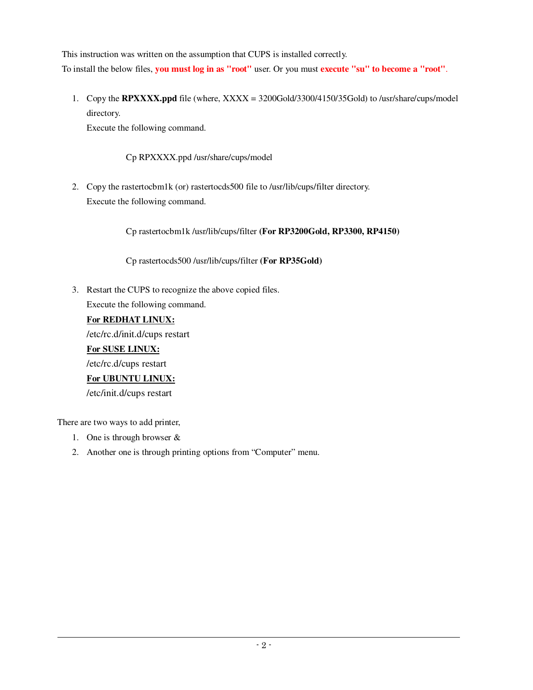This instruction was written on the assumption that CUPS is installed correctly. To install the below files, **you must log in as "root"** user. Or you must **execute "su" to become a "root"**.

1. Copy the **RPXXXX.ppd** file (where, XXXX = 3200Gold/3300/4150/35Gold) to /usr/share/cups/model directory. Execute the following command.

Cp RPXXXX.ppd /usr/share/cups/model

2. Copy the rastertocbm1k (or) rastertocds500 file to /usr/lib/cups/filter directory. Execute the following command.

Cp rastertocbm1k /usr/lib/cups/filter **(For RP3200Gold, RP3300, RP4150)** 

Cp rastertocds500 /usr/lib/cups/filter **(For RP35Gold)**

3. Restart the CUPS to recognize the above copied files. Execute the following command.

## **For REDHAT LINUX:**

/etc/rc.d/init.d/cups restart

**For SUSE LINUX:** /etc/rc.d/cups restart **For UBUNTU LINUX:** /etc/init.d/cups restart

There are two ways to add printer,

- 1. One is through browser &
- 2. Another one is through printing options from "Computer" menu.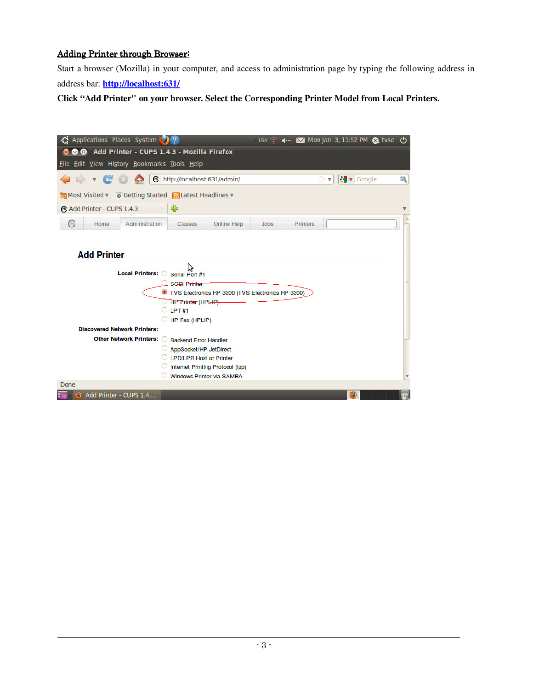## Adding Printer through Browser:

l

Start a browser (Mozilla) in your computer, and access to administration page by typing the following address in address bar: **http://localhost:631/**

**Click "Add Printer" on your browser. Select the Corresponding Printer Model from Local Printers.** 

| Applications Places System (3) ?                                |                                  |                                                   | $USA =$     | 4- ★ Monjan 3, 11:52 PM & tvse (1) |                            |                         |
|-----------------------------------------------------------------|----------------------------------|---------------------------------------------------|-------------|------------------------------------|----------------------------|-------------------------|
| Add Printer - CUPS 1.4.3 - Mozilla Firefox                      |                                  |                                                   |             |                                    |                            |                         |
| File Edit View History Bookmarks Tools Help                     |                                  |                                                   |             |                                    |                            |                         |
| $\epsilon$                                                      | http://localhost:631/admin/      |                                                   |             | $\mathbb{C}$ v                     | $\sqrt{\mathbf{v}}$ Google | Q                       |
| <b>लि Most Visited v</b> © Getting Started N Latest Headlines v |                                  |                                                   |             |                                    |                            |                         |
| Add Printer - CUPS 1.4.3                                        | $\div$                           |                                                   |             |                                    |                            | ₩                       |
| Administration<br>e<br>Home                                     | Classes                          | Online Help                                       | <b>Jobs</b> | <b>Printers</b>                    |                            |                         |
|                                                                 |                                  |                                                   |             |                                    |                            |                         |
|                                                                 |                                  |                                                   |             |                                    |                            |                         |
| <b>Add Printer</b>                                              |                                  |                                                   |             |                                    |                            |                         |
|                                                                 | ド                                |                                                   |             |                                    |                            |                         |
| Local Printers: G Serial Port #1                                |                                  |                                                   |             |                                    |                            |                         |
|                                                                 | <b>SGSI-Printer</b>              |                                                   |             |                                    |                            |                         |
|                                                                 |                                  | TVS Electronics RP 3300 (TVS Electronics RP 3300) |             |                                    |                            |                         |
|                                                                 | <b>THP Printer (HPLIP)</b>       |                                                   |             |                                    |                            |                         |
|                                                                 | $O$ LPT #1                       |                                                   |             |                                    |                            |                         |
| <b>Discovered Network Printers:</b>                             | HP Fax (HPLIP)                   |                                                   |             |                                    |                            |                         |
|                                                                 |                                  |                                                   |             |                                    |                            |                         |
| <b>Other Network Printers:</b>                                  | <b>Backend Error Handler</b>     |                                                   |             |                                    |                            |                         |
|                                                                 | AppSocket/HP JetDirect           |                                                   |             |                                    |                            |                         |
|                                                                 | LPD/LPR Host or Printer          |                                                   |             |                                    |                            |                         |
|                                                                 |                                  | Internet Printing Protocol (ipp)                  |             |                                    |                            |                         |
|                                                                 | <b>Windows Printer via SAMBA</b> |                                                   |             |                                    |                            | $\overline{\mathbf{v}}$ |
| Done                                                            |                                  |                                                   |             |                                    |                            |                         |
| Add Printer - CUPS 1.4<br>3)                                    |                                  |                                                   |             |                                    | $\circ$                    |                         |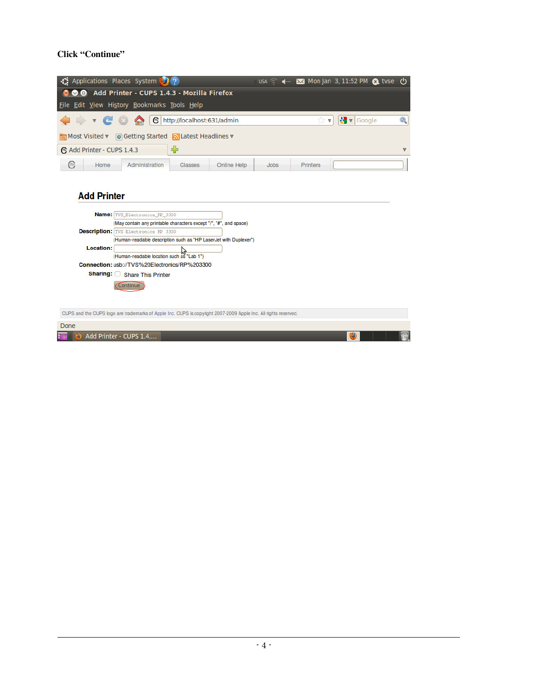## **Click "Continue"**

|                                                                                                                 | Applications Places System (2) ?                                                                                                                                                                                                                                   |                                     |             | $USA =$     | 4 -- ★ Mon Jan 3, 11:52 PM △ tvse (1) |                            |          |
|-----------------------------------------------------------------------------------------------------------------|--------------------------------------------------------------------------------------------------------------------------------------------------------------------------------------------------------------------------------------------------------------------|-------------------------------------|-------------|-------------|---------------------------------------|----------------------------|----------|
|                                                                                                                 | Add Printer - CUPS 1.4.3 - Mozilla Firefox                                                                                                                                                                                                                         |                                     |             |             |                                       |                            |          |
| File Edit View History Bookmarks Tools Help                                                                     |                                                                                                                                                                                                                                                                    |                                     |             |             |                                       |                            |          |
|                                                                                                                 |                                                                                                                                                                                                                                                                    | <b>6</b> http://localhost:631/admin |             |             | ŵ<br>$\overline{\mathbf{v}}$          | $\sqrt{\mathbf{v}}$ Google | Q        |
| ि Most Visited v © Getting Started N Latest Headlines v                                                         |                                                                                                                                                                                                                                                                    |                                     |             |             |                                       |                            |          |
| Add Printer - CUPS 1.4.3                                                                                        |                                                                                                                                                                                                                                                                    | $\blacklozenge$                     |             |             |                                       |                            | $\nabla$ |
| ⊜<br>Home                                                                                                       | Administration                                                                                                                                                                                                                                                     | <b>Classes</b>                      | Online Help | <b>Jobs</b> | Printers                              |                            |          |
| <b>Add Printer</b><br>Location:                                                                                 | Name: TVS Electronics RP 3300<br>(May contain any printable characters except "/", "#", and space)<br><b>Description:</b> TVS Electronics RP 3300<br>(Human-readable description such as "HP LaserJet with Duplexer")<br>(Human-readable location such as "Lab 1") |                                     |             |             |                                       |                            |          |
|                                                                                                                 | Connection: usb://TVS%20Electronics/RP%203300                                                                                                                                                                                                                      |                                     |             |             |                                       |                            |          |
|                                                                                                                 | Sharing: Share This Printer<br>Continue                                                                                                                                                                                                                            |                                     |             |             |                                       |                            |          |
| CUPS and the CUPS logo are trademarks of Apple Inc. CUPS is copyright 2007-2009 Apple Inc. All rights reserved. |                                                                                                                                                                                                                                                                    |                                     |             |             |                                       |                            |          |
| Done                                                                                                            |                                                                                                                                                                                                                                                                    |                                     |             |             |                                       |                            |          |
|                                                                                                                 | Add Printer - CUPS 1.4                                                                                                                                                                                                                                             |                                     |             |             |                                       | Ð                          |          |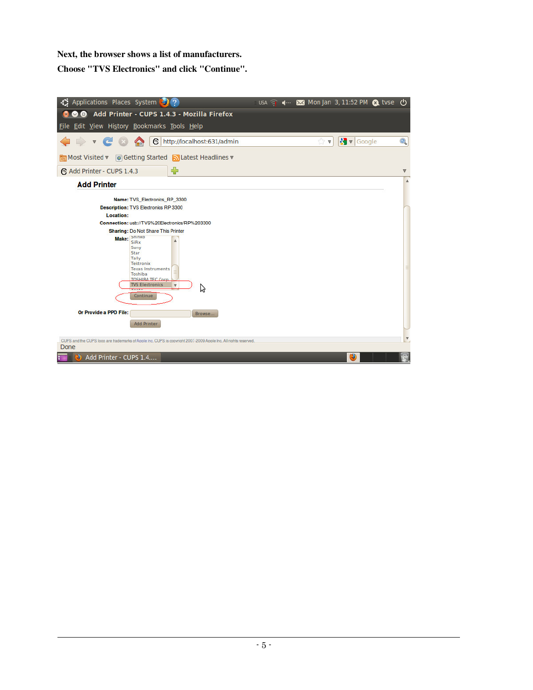## **Next, the browser shows a list of manufacturers.**

**Choose "TVS Electronics" and click "Continue".** 

| File Edit View History Bookmarks Tools Help                                                                                                                                                       |                         |
|---------------------------------------------------------------------------------------------------------------------------------------------------------------------------------------------------|-------------------------|
| $\sqrt{\frac{1}{2}}$ v Google<br><b>● http://localhost:631/admin</b><br>$\overline{\mathbf{v}}$                                                                                                   | Q                       |
| <b>लि Most Visited v</b> © Getting Started N Latest Headlines v                                                                                                                                   |                         |
| ⊕<br>Add Printer - CUPS 1.4.3                                                                                                                                                                     | $\nabla$                |
| <b>Add Printer</b>                                                                                                                                                                                | $\Delta$                |
| Name: TVS Electronics RP 3300                                                                                                                                                                     |                         |
| <b>Description: TVS Electronics RP 3300</b>                                                                                                                                                       |                         |
| Location:                                                                                                                                                                                         |                         |
| Connection: usb://TVS%20Electronics/RP%203300                                                                                                                                                     |                         |
| <b>Sharing: Do Not Share This Printer</b>                                                                                                                                                         |                         |
| Make: Shinko<br><b>SiPix</b><br>Sony<br>Star<br>Tally<br><b>Tektronix</b><br><b>Texas Instruments</b><br>Toshiba<br><b>TOSHIRA TEC Corp.</b><br><b>TVS Electronics</b><br>$\overline{\mathbf{v}}$ |                         |
| グ<br>Continue                                                                                                                                                                                     |                         |
| Or Provide a PPD File:<br>Browse<br><b>Add Printer</b>                                                                                                                                            |                         |
|                                                                                                                                                                                                   |                         |
| CUPS and the CUPS logo are trademarks of Apple Inc. CUPS is copyright 2007-2009 Apple Inc. All rights reserved.                                                                                   | $\overline{\mathbf{v}}$ |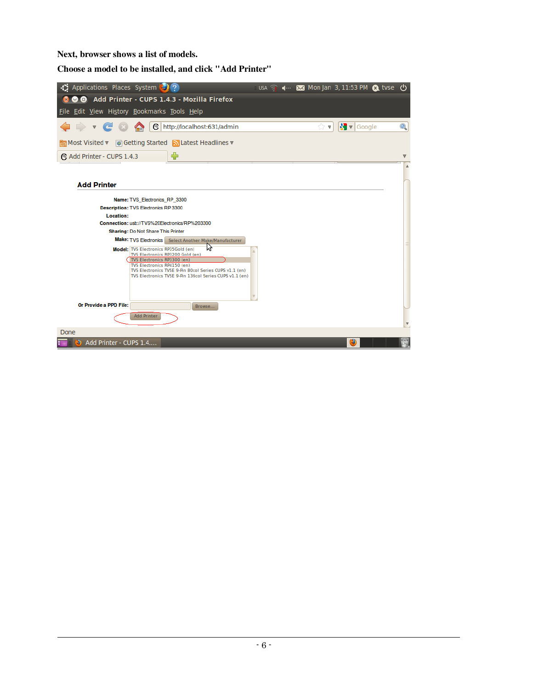**Next, browser shows a list of models.** 

l

**Choose a model to be installed, and click "Add Printer"** 

| ↑ Applications Places System ● ?                                                                                                                                                                                                                                 |  |                   | USA 1 4- 2 Mon Jan 3, 11:53 PM 2 tvse (1) |                         |
|------------------------------------------------------------------------------------------------------------------------------------------------------------------------------------------------------------------------------------------------------------------|--|-------------------|-------------------------------------------|-------------------------|
| © © Add Printer - CUPS 1.4.3 - Mozilla Firefox                                                                                                                                                                                                                   |  |                   |                                           |                         |
| File Edit View History Bookmarks Tools Help                                                                                                                                                                                                                      |  |                   |                                           |                         |
| <b>● http://localhost:631/admin</b><br>$\triangleright$ $\triangleright$ $\in$ $\infty$                                                                                                                                                                          |  | $\sum \mathbf{v}$ | $\sqrt{\frac{1}{2}}$ $\sqrt{ }$ Google    | Q                       |
| Most Visited v © Getting Started NLatest Headlines v                                                                                                                                                                                                             |  |                   |                                           |                         |
| ⊕<br>Add Printer - CUPS 1.4.3                                                                                                                                                                                                                                    |  |                   |                                           | A                       |
|                                                                                                                                                                                                                                                                  |  |                   |                                           |                         |
| <b>Add Printer</b>                                                                                                                                                                                                                                               |  |                   |                                           |                         |
| Name: TVS Electronics RP 3300                                                                                                                                                                                                                                    |  |                   |                                           |                         |
| <b>Description: TVS Electronics RP 3300</b>                                                                                                                                                                                                                      |  |                   |                                           |                         |
| Location:                                                                                                                                                                                                                                                        |  |                   |                                           |                         |
| Connection: usb://TVS%20Electronics/RP%203300                                                                                                                                                                                                                    |  |                   |                                           |                         |
| <b>Sharing: Do Not Share This Printer</b>                                                                                                                                                                                                                        |  |                   |                                           |                         |
| Make: TVS Electronics Select Another Make/Manufacturer                                                                                                                                                                                                           |  |                   |                                           |                         |
| パ<br>Model: TVS Electronics RP35Gold (en)<br>TVS Electronics RP3200 Gold (en)<br>TVS Electronics RP3300 (en)<br>TVS Electronics RP4150 (en)<br>TVS Electronics TVSE 9-Pin 80col Series CUPS v1.1 (en)<br>TVS Electronics TVSE 9-Pin 136col Series CUPS v1.1 (en) |  |                   |                                           |                         |
| Or Provide a PPD File:<br>Browse                                                                                                                                                                                                                                 |  |                   |                                           |                         |
| <b>Add Printer</b>                                                                                                                                                                                                                                               |  |                   |                                           | $\overline{\mathbf{v}}$ |
| Done                                                                                                                                                                                                                                                             |  |                   |                                           |                         |
| 2) Add Printer - CUPS 1.4                                                                                                                                                                                                                                        |  |                   | $\circ$                                   |                         |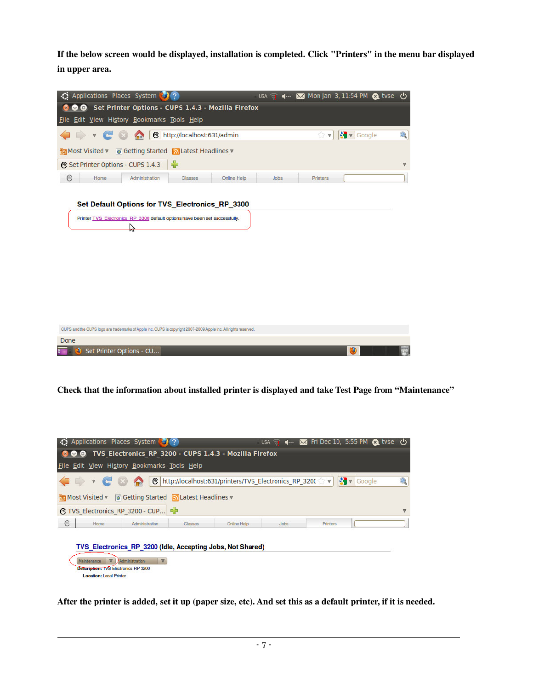**If the below screen would be displayed, installation is completed. Click "Printers" in the menu bar displayed in upper area.** 

| Applications Places System (2022)<br>-13                                                                                       |                                                             |                                     |             |             |                  |                                        |          |
|--------------------------------------------------------------------------------------------------------------------------------|-------------------------------------------------------------|-------------------------------------|-------------|-------------|------------------|----------------------------------------|----------|
|                                                                                                                                | <b>O</b> Set Printer Options - CUPS 1.4.3 - Mozilla Firefox |                                     |             |             |                  |                                        |          |
| File Edit View History Bookmarks Tools Help                                                                                    |                                                             |                                     |             |             |                  |                                        |          |
| $\rightarrow$ v                                                                                                                |                                                             | <b>● http://localhost:631/admin</b> |             |             | $\mathbb{C}^n$ w | $\sqrt{\frac{1}{2}}$ $\sqrt{ }$ Google | Q        |
| ि Most Visited v © Getting Started N Latest Headlines v                                                                        |                                                             |                                     |             |             |                  |                                        |          |
| Set Printer Options - CUPS 1.4.3                                                                                               |                                                             | ⊕                                   |             |             |                  |                                        | $\nabla$ |
| ⊜<br>Home                                                                                                                      | Administration                                              | Classes                             | Online Help | <b>Jobs</b> | <b>Printers</b>  |                                        |          |
| Set Default Options for TVS_Electronics_RP_3300<br>Printer TVS Electronics RP 3300 default options have been set successfully. | Y                                                           |                                     |             |             |                  |                                        |          |
|                                                                                                                                |                                                             |                                     |             |             |                  |                                        |          |
| CUPS and the CUPS logo are trademarks of Apple Inc. CUPS is copyright 2007-2009 Apple Inc. All rights reserved.                |                                                             |                                     |             |             |                  |                                        |          |
| Done                                                                                                                           |                                                             |                                     |             |             |                  |                                        |          |
| Set Printer Options - CU                                                                                                       |                                                             |                                     |             |             |                  | ۷                                      |          |

**Check that the information about installed printer is displayed and take Test Page from "Maintenance"** 

|            |                                                                                                                  | →↑ Applications Places System → ?                                                                  |         |                                                                    |      |          | USA 4- X Fri Dec 10, 5:55 PM & tyse (!) |                      |
|------------|------------------------------------------------------------------------------------------------------------------|----------------------------------------------------------------------------------------------------|---------|--------------------------------------------------------------------|------|----------|-----------------------------------------|----------------------|
|            |                                                                                                                  |                                                                                                    |         | <b>800</b> TVS Electronics RP 3200 - CUPS 1.4.3 - Mozilla Firefox  |      |          |                                         |                      |
|            |                                                                                                                  | File Edit View History Bookmarks Tools Help                                                        |         |                                                                    |      |          |                                         |                      |
|            | $\rightarrow$ $\sim$ $\sim$ $\sim$ $\sim$                                                                        | िल Most Visited v © Getting Started N Latest Headlines v<br><b>● TVS Electronics RP 3200 - CUP</b> |         | Google http://localhost:631/printers/TVS_Electronics_RP_320( マ マ マ |      |          |                                         | Q<br>$\triangledown$ |
| $\epsilon$ | Home                                                                                                             | Administration                                                                                     | Classes | Online Help                                                        | Jobs | Printers |                                         |                      |
|            | Maintenance<br>$\overline{\mathbf{v}}$<br>Description: TVS Electronics RP 3200<br><b>Location: Local Printer</b> | Administration<br>V                                                                                |         | TVS Electronics RP 3200 (Idle, Accepting Jobs, Not Shared)         |      |          |                                         |                      |

**After the printer is added, set it up (paper size, etc). And set this as a default printer, if it is needed.**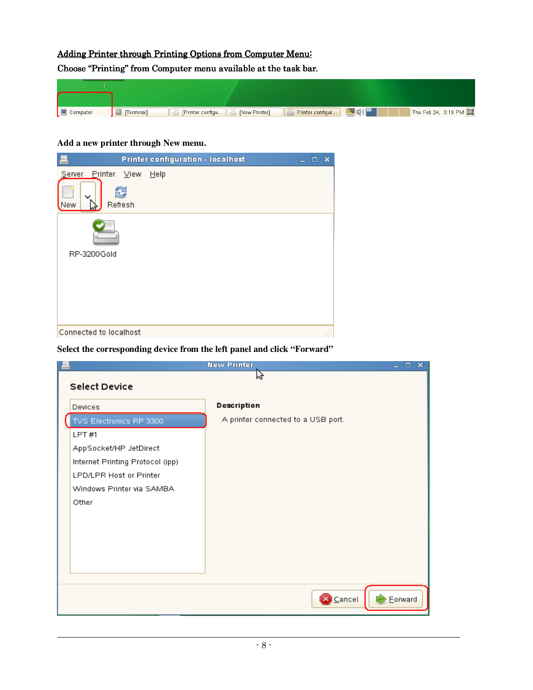# Adding Printer through Printing Options from Computer Menu: Choose "Printing" from Computer menu available at the task bar.

#### Finter configu... | B [New Printer] | B Printer configur... | D 0 Thu Feb 24, 3:19 PM  $\boxed{\blacksquare}$  Computer  $\Box$  [Terminal]

#### **Add a new printer through New menu.**

l

| Printer configuration - localhost<br>론                     | $\Box$ $\times$<br>- |
|------------------------------------------------------------|----------------------|
| Printer<br>$View$<br>Server<br>Help<br>£<br>Refresh<br>New |                      |
| RP-3200Gold                                                |                      |
| Connected to localhost                                     | Æ.                   |

#### **Select the corresponding device from the left panel and click "Forward"**

|                                  | <b>New Printer</b><br>$  \times$   |
|----------------------------------|------------------------------------|
| Select Device                    | ٣z                                 |
|                                  |                                    |
| Devices                          | Description                        |
| TVS Electronics RP 3300          | A printer connected to a USB port. |
| LPT #1                           |                                    |
| AppSocket/HP JetDirect           |                                    |
| Internet Printing Protocol (ipp) |                                    |
| LPD/LPR Host or Printer          |                                    |
| Windows Printer via SAMBA        |                                    |
| Other                            |                                    |
|                                  |                                    |
|                                  |                                    |
|                                  |                                    |
|                                  |                                    |
|                                  |                                    |
|                                  |                                    |
|                                  | S Cancel<br>Eorward                |
|                                  |                                    |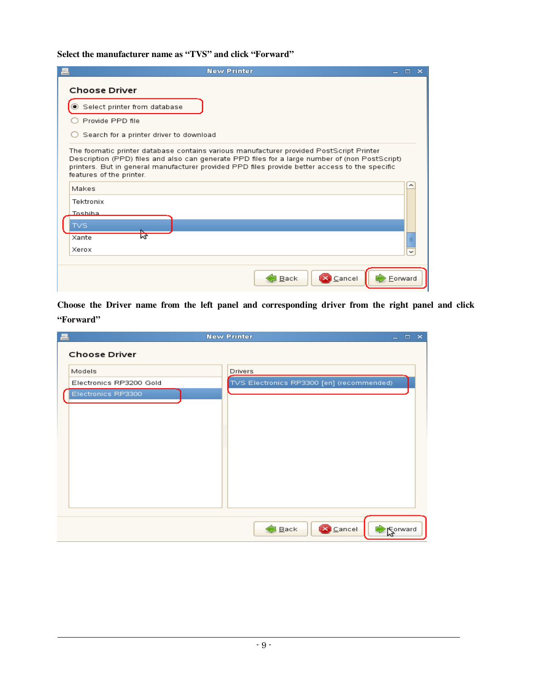**Select the manufacturer name as "TVS" and click "Forward"** 

| <b>New Printer</b>                                                                                                                                                                                                                                                                                                      |         | $=$ $\Box$ $\times$ |  |
|-------------------------------------------------------------------------------------------------------------------------------------------------------------------------------------------------------------------------------------------------------------------------------------------------------------------------|---------|---------------------|--|
| <b>Choose Driver</b>                                                                                                                                                                                                                                                                                                    |         |                     |  |
| Select printer from database                                                                                                                                                                                                                                                                                            |         |                     |  |
| Provide PPD file                                                                                                                                                                                                                                                                                                        |         |                     |  |
| Search for a printer driver to download                                                                                                                                                                                                                                                                                 |         |                     |  |
| The foomatic printer database contains various manufacturer provided PostScript Printer<br>Description (PPD) files and also can generate PPD files for a large number of (non PostScript)<br>printers. But in general manufacturer provided PPD files provide better access to the specific<br>features of the printer. |         |                     |  |
| Makes                                                                                                                                                                                                                                                                                                                   |         |                     |  |
| Tektronix                                                                                                                                                                                                                                                                                                               |         |                     |  |
| Toshiha                                                                                                                                                                                                                                                                                                                 |         |                     |  |
| <b>TVS</b>                                                                                                                                                                                                                                                                                                              |         |                     |  |
| hĻ<br>Xante                                                                                                                                                                                                                                                                                                             |         |                     |  |
| Xerox                                                                                                                                                                                                                                                                                                                   |         |                     |  |
|                                                                                                                                                                                                                                                                                                                         |         |                     |  |
| Back<br>Scancel                                                                                                                                                                                                                                                                                                         | Forward |                     |  |

**Choose the Driver name from the left panel and corresponding driver from the right panel and click "Forward"** 

| 론                       | <b>New Printer</b>                        | $\mathbf{x}$<br>$-0$ |
|-------------------------|-------------------------------------------|----------------------|
| <b>Choose Driver</b>    |                                           |                      |
| Models                  | <b>Drivers</b>                            |                      |
| Electronics RP3200 Gold | TVS Electronics RP3300 [en] (recommended) |                      |
| Electronics RP3300      |                                           |                      |
|                         |                                           |                      |
|                         |                                           |                      |
|                         |                                           |                      |
|                         |                                           |                      |
|                         |                                           |                      |
|                         |                                           |                      |
|                         |                                           |                      |
|                         |                                           |                      |
|                         |                                           |                      |
|                         |                                           |                      |
|                         | Cancel<br>Back                            | Sorward              |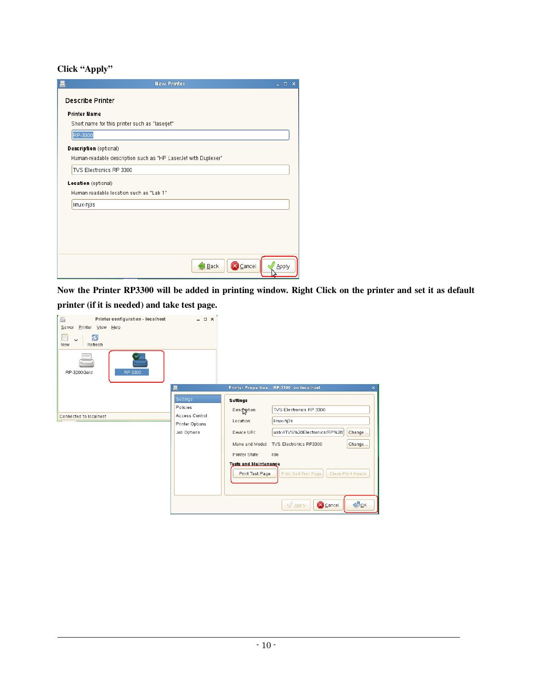# **Click "Apply"**

l

| <b>New Printer</b>                                             | $\equiv$ | $\square$ $\times$ |  |
|----------------------------------------------------------------|----------|--------------------|--|
| <b>Describe Printer</b>                                        |          |                    |  |
| <b>Printer Name</b>                                            |          |                    |  |
| Short name for this printer such as "laserjet"                 |          |                    |  |
| RP-3300                                                        |          |                    |  |
| Description (optional)                                         |          |                    |  |
| Human-readable description such as "HP LaserJet with Duplexer" |          |                    |  |
| TVS Electronics RP 3300                                        |          |                    |  |
| Location (optional)                                            |          |                    |  |
| Human-readable location such as "Lab 1"                        |          |                    |  |
| linux-hj3s                                                     |          |                    |  |
|                                                                |          |                    |  |
|                                                                |          |                    |  |
|                                                                |          |                    |  |
|                                                                |          |                    |  |
| <b>X</b> Cancel<br>Back                                        |          | Apply              |  |

**Now the Printer RP3300 will be added in printing window. Right Click on the printer and set it as default printer (if it is needed) and take test page.** 

| Printer Properties - `RP-3300' on localhost<br>록<br>Settings<br><b>Settings</b><br>Policies<br>TVS Electronics RP 3300<br>Description:<br>Access Control<br>Connected to localhost<br>linux-hj3s<br>Location:<br>Printer Options<br>Job Options<br>usb://TVS%20Electronics/RP%20.<br>Device URI:<br>Make and Model: TVS Electronics RP3300<br>Change<br>Printer State:<br>Idle<br><b>Tests and Maintenance</b><br>Print Self-Test Page<br>Print Test Page<br>Clean Print Heads | 昌<br>Printer configuration - localhost<br>Printer View Help<br>Server<br>S<br>New<br>Refresh<br>RP-3300<br>RP-3200Gold | $ \Box$ $\times$ |                          |
|--------------------------------------------------------------------------------------------------------------------------------------------------------------------------------------------------------------------------------------------------------------------------------------------------------------------------------------------------------------------------------------------------------------------------------------------------------------------------------|------------------------------------------------------------------------------------------------------------------------|------------------|--------------------------|
|                                                                                                                                                                                                                                                                                                                                                                                                                                                                                |                                                                                                                        |                  | $\pmb{\times}$<br>Change |